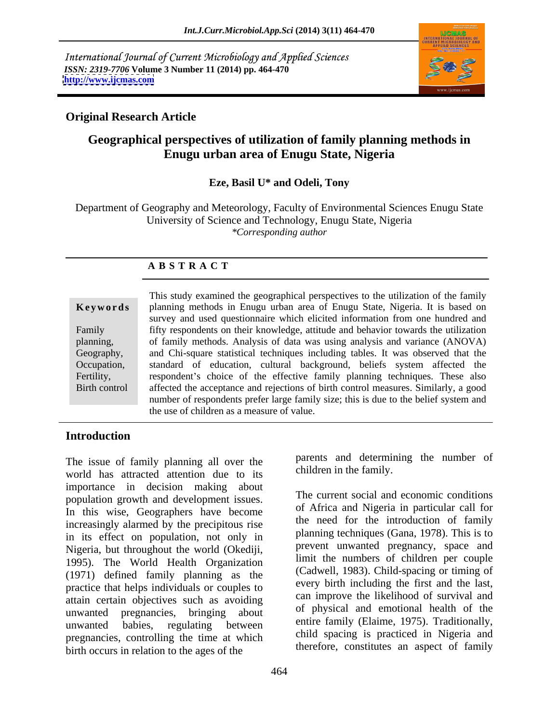International Journal of Current Microbiology and Applied Sciences *ISSN: 2319-7706* **Volume 3 Number 11 (2014) pp. 464-470 <http://www.ijcmas.com>**



# **Original Research Article**

# **Geographical perspectives of utilization of family planning methods in Enugu urban area of Enugu State, Nigeria**

### **Eze, Basil U\* and Odeli, Tony**

Department of Geography and Meteorology, Faculty of Environmental Sciences Enugu State University of Science and Technology, Enugu State, Nigeria *\*Corresponding author* 

#### **A B S T R A C T**

**Keywords** planning methods in Enugu urban area of Enugu State, Nigeria. It is based on Family fifty respondents on their knowledge, attitude and behavior towards the utilization planning, of family methods. Analysis of data was using analysis and variance (ANOVA) Geography, and Chi-square statistical techniques including tables. It was observed that the Occupation, standard of education, cultural background, beliefs system affected the Fertility, respondent's choice of the effective family planning techniques. These also Birth control affected the acceptance and rejections of birth control measures. Similarly, a good This study examined the geographical perspectives to the utilization of the family survey and used questionnaire which elicited information from one hundred and number of respondents prefer large family size; this is due to the belief system and the use of children as a measure of value.

#### **Introduction**

The issue of family planning all over the world has attracted attention due to its importance in decision making about population growth and development issues. In this wise, Geographers have become increasingly alarmed by the precipitous rise in its effect on population, not only in Nigeria, but throughout the world (Okediji, 1995). The World Health Organization (1971) defined family planning as the practice that helps individuals or couples to attain certain objectives such as avoiding unwanted pregnancies, bringing about of physical and emotional nearly of the unwanted babies, regulating between entire-lamily (Elaime, 1975). It adulonally, pregnancies, controlling the time at which birth occurs in relation to the ages of the

parents and determining the number of children in the family.

The current social and economic conditions of Africa and Nigeria in particular call for the need for the introduction of family planning techniques (Gana, 1978). This is to prevent unwanted pregnancy, space and limit the numbers of children per couple (Cadwell, 1983). Child-spacing or timing of every birth including the first and the last, can improve the likelihood of survival and of physical and emotional health of the entire family (Elaime, 1975). Traditionally, child spacing is practiced in Nigeria and therefore, constitutes an aspect of family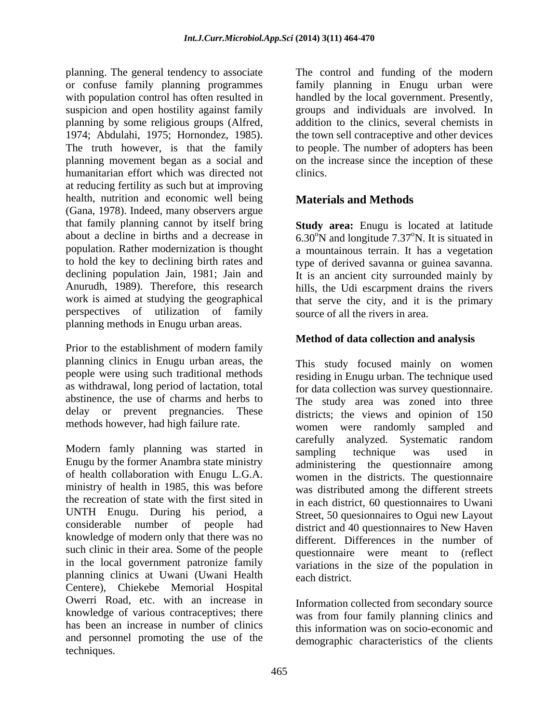planning. The general tendency to associate The control and funding of the modern or confuse family planning programmes family planning in Enugu urban were with population control has often resulted in handled by the local government. Presently, suspicion and open hostility against family groups and individuals are involved. In planning by some religious groups (Alfred, 1974; Abdulahi, 1975; Hornondez, 1985). the town sell contraceptive and other devices The truth however, is that the family to people. The number of adopters has been planning movement began as a social and on the increase since the inception of these humanitarian effort which was directed not clinics. at reducing fertility as such but at improving health, nutrition and economic well being **Materials and Methods** (Gana, 1978). Indeed, many observers argue that family planning cannot by itself bring **Study area:** Enugu is located at latitude about a decline in births and a decrease in  $6.30^{\circ}$ N and longitude 7.37°N. It is situated in population. Rather modernization is thought a mountainous terrain. It has a vegetation to hold the key to declining birth rates and type of derived savanna or guinea savanna. declining population Jain, 1981; Jain and It is an ancient city surrounded mainly by Anurudh, 1989). Therefore, this research hills, the Udi escarpment drains the rivers work is aimed at studying the geographical that serve the city, and it is the primary perspectives of utilization of family planning methods in Enugu urban areas.

Prior to the establishment of modern family planning clinics in Enugu urban areas, the people were using such traditional methods as withdrawal, long period of lactation, total

Modern famly planning was started in sampling technique was used in Enugu by the former Anambra state ministry of health collaboration with Enugu L.G.A. women in the districts. The questionnaire ministry of health in 1985, this was before the recreation of state with the first sited in in each district, 60 questionnaires to Uwani UNTH Enugu. During his period, a considerable number of people had district and 40 questionnaires to New Haven knowledge of modern only that there was no such clinic in their area. Some of the people in the local government patronize family planning clinics at Uwani (Uwani Health Centere), Chiekebe Memorial Hospital Owerri Road, etc. with an increase in knowledge of various contraceptives; there has been an increase in number of clinics and personnel promoting the use of the techniques.

addition to the clinics, several chemists in clinics.

# **Materials and Methods**

source of all the rivers in area.

### **Method of data collection and analysis**

abstinence, the use of charms and herbs to The study area was zoned into three delay or prevent pregnancies. These districts; the views and opinion of 150 methods however, had high failure rate. women were randomly sampled and This study focused mainly on women residing in Enugu urban. The technique used for data collection was survey questionnaire. carefully analyzed. Systematic random sampling technique was used in administering the questionnaire among was distributed among the different streets Street, 50 quesionnaires to Ogui new Layout different. Differences in the number of questionnaire were meant to (reflect variations in the size of the population in each district.

> Information collected from secondary source was from four family planning clinics and this information was on socio-economic and demographic characteristics of the clients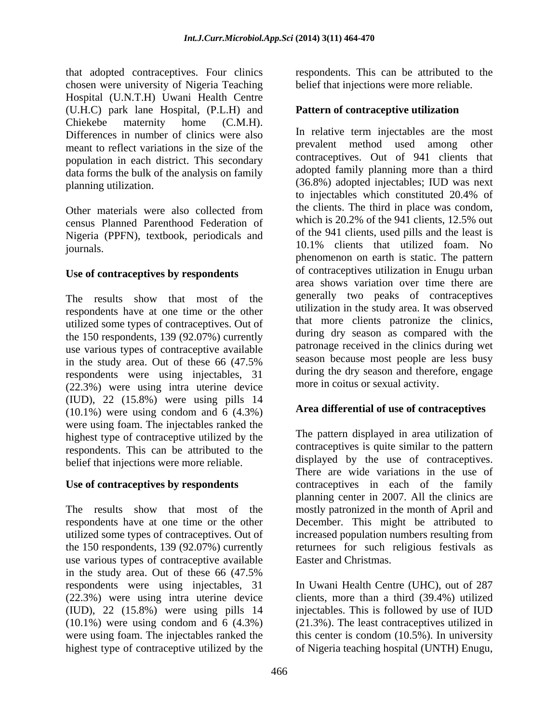that adopted contraceptives. Four clinics respondents. This can be attributed to the chosen were university of Nigeria Teaching Hospital (U.N.T.H) Uwani Health Centre (U.H.C) park lane Hospital, (P.L.H) and Chiekebe maternity home (C.M.H). Differences in number of clinics were also meant to reflect variations in the size of the population in each district. This secondary data forms the bulk of the analysis on family

census Planned Parenthood Federation of Nigeria (PPFN), textbook, periodicals and

#### **Use of contraceptives by respondents**

The results show that most of the respondents have at one time or the other utilized some types of contraceptives. Out of the 150 respondents, 139 (92.07%) currently use various types of contraceptive available respondents were using injectables, 31 (22.3%) were using intra uterine device (IUD), 22 (15.8%) were using pills 14  $(10.1\%)$  were using condom and 6  $(4.3\%)$ were using foam. The injectables ranked the highest type of contraceptive utilized by the respondents. This can be attributed to the belief that injections were more reliable.

#### **Use of contraceptives by respondents**

use various types of contraceptive available in the study area. Out of these 66 (47.5% respondents were using injectables, 31 (22.3%) were using intra uterine device (IUD), 22 (15.8%) were using pills 14 injectables. This is followed by use of IUD (10.1%) were using condom and 6 (4.3%) (21.3%). The least contraceptives utilized in were using foam. The injectables ranked the this center is condom (10.5%). In university highest type of contraceptive utilized by the of Nigeria teaching hospital (UNTH) Enugu,

belief that injections were more reliable.

#### **Pattern of contraceptive utilization**

planning utilization. (36.8%) adopted injectables; IUD was next Other materials were also collected from the clients. The third in place was condom, journals. 10.1% clients that utilized foam. No in the study area. Out of these 66 (47.5% season because most people are less busy In relative term injectables are the most prevalent method used among other contraceptives. Out of 941 clients that adopted family planning more than a third to injectables which constituted 20.4% of the clients. The third in place was condom, which is 20.2% of the 941 clients, 12.5% out of the 941 clients, used pills and the least is phenomenon on earth is static. The pattern of contraceptives utilization in Enugu urban area shows variation over time there are generally two peaks of contraceptives utilization in the study area. It was observed that more clients patronize the clinics, during dry season as compared with the patronage received in the clinics during wet season because most people are less busy during the dry season and therefore, engage more in coitus or sexual activity.

### **Area differential of use of contraceptives**

The results show that most of the mostly patronized in the month of April and respondents have at one time or the other December. This might be attributed to utilized some types of contraceptives. Out of increased population numbers resulting from the 150 respondents, 139 (92.07%) currently returnees for such religious festivals as The pattern displayed in area utilization of contraceptives is quite similar to the pattern displayed by the use of contraceptives. There are wide variations in the use of contraceptives in each of the family planning center in 2007. All the clinics are Easter and Christmas.

> In Uwani Health Centre (UHC), out of 287 clients, more than a third (39.4%) utilized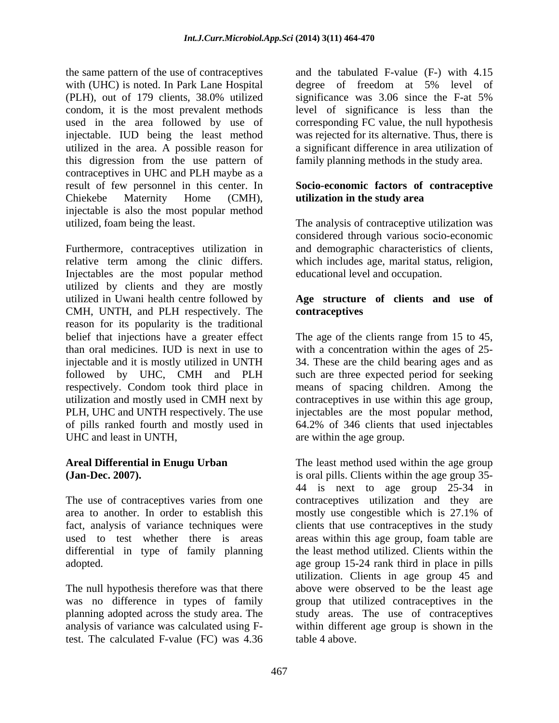the same pattern of the use of contraceptives with (UHC) is noted. In Park Lane Hospital degree of freedom at 5% level of (PLH), out of 179 clients, 38.0% utilized condom, it is the most prevalent methods level of significance is less than the used in the area followed by use of corresponding FC value, the null hypothesis injectable. IUD being the least method utilized in the area. A possible reason for a significant difference in area utilization of this digression from the use pattern of contraceptives in UHC and PLH maybe as a result of few personnel in this center. In **Socio-economic factors of contraceptive** Chiekebe Maternity Home (CMH), injectable is also the most popular method utilized, foam being the least. The analysis of contraceptive utilization was

Furthermore, contraceptives utilization in relative term among the clinic differs. which includes age, marital status, religion, Injectables are the most popular method utilized by clients and they are mostly utilized in Uwani health centre followed by CMH, UNTH, and PLH respectively. The reason for its popularity is the traditional<br>belief that injections have a greater effect belief that injections have a greater effect The age of the clients range from 15 to 45, than oral medicines.IUD is next in use to with a concentration within the ages of 25 injectable and it is mostly utilized in UNTH 34. These are the child bearing ages and as followed by UHC, CMH and PLH such arethree expected period for seeking respectively. Condom took third place in means of spacing children. Among the utilization and mostly used in CMH next by contraceptives in use within this age group, PLH, UHC and UNTH respectively. The use injectables are the most popular method, of pills ranked fourth and mostly used in 64.2% of 346 clients that used injectables UHC and least in UNTH,

area to another. In order to establish this mostly use congestible which is 27.1% of

test. The calculated F-value (FC) was 4.36

and the tabulated F-value (F-) with 4.15 degree of freedom at 5% level of significance was 3.06 since the F-at 5% was rejected for its alternative. Thus, there is family planning methods in the study area.

# **utilization in the study area**

considered through various socio-economic and demographic characteristics of clients, educational level and occupation.

#### **Age structure of clients and use of contraceptives**

are within the age group.

Areal Differential in Enugu Urban **The least method used within the age group (Jan-Dec. 2007).** is oral pills. Clients within the age group 35- The use of contraceptives varies from one contraceptives utilization and they are fact, analysis of variance techniques were clients that use contraceptives in the study used to test whether there is areas areas within this age group, foam table are differential in type of family planning the least method utilized. Clients within the adopted. age group 15-24 rank third in place in pills The null hypothesis therefore was that there above were observed to be the least age was no difference in types of family group that utilized contraceptives in the planning adopted across the study area. The study areas. The use of contraceptives analysis of variance was calculated using F-within different age group is shown in the 44 is next to age group 25-34 in mostly use congestible which is 27.1% of utilization. Clients in age group 45 and table 4 above.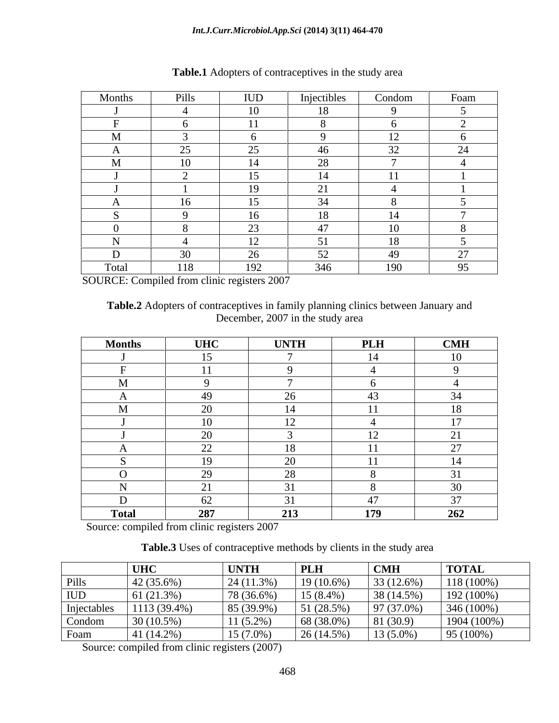| Months                                                                                   | Pills | IUD                        | Injectibles<br>$\sim$           | Condom                   | Foam                 |
|------------------------------------------------------------------------------------------|-------|----------------------------|---------------------------------|--------------------------|----------------------|
|                                                                                          |       | 10                         | 18                              |                          |                      |
|                                                                                          |       | $-4.4 -$                   |                                 |                          |                      |
| $\mathbf{A}$<br>- IVI                                                                    |       |                            |                                 | $\rightarrow$            |                      |
|                                                                                          | 25    | $\Omega$                   | 46                              | $\sim$                   |                      |
| $\mathbf{A}$<br>- IVI<br>the contract of the contract of the contract of the contract of | 10    | 14                         | 28                              | $\overline{a}$           |                      |
|                                                                                          |       | 15                         | $\mathbf{1}$<br>$\overline{14}$ |                          |                      |
|                                                                                          |       | 19                         | 21                              |                          |                      |
|                                                                                          | 16    | 15                         | 21                              |                          |                      |
|                                                                                          |       | 16                         | $10^{-7}$<br>18 <sup>7</sup>    | - 4 - 4                  |                      |
|                                                                                          |       | $\mathcal{L}$<br>$\sim$    | $\overline{A}$<br>4/            | $\overline{10}$<br>- 1 V |                      |
|                                                                                          | - 4   | $\overline{12}$<br>$\perp$ | 51                              | 18                       |                      |
|                                                                                          | 30    | $\cap$<br>- ∠∪             | 52                              | 49                       | $\sim$<br>$\prime$ . |
| Total                                                                                    | 118   | 192                        | 346                             | 190                      | 95                   |

**Table.1** Adopters of contraceptives in the study area

SOURCE: Compiled from clinic registers 2007

**Table.2** Adopters of contraceptives in family planning clinics between January and December, 2007 in the study area

| <b>Months</b> | <b>UHC</b>           | <b>UNTH</b>             | <b>PLH</b>       | CMH                         |
|---------------|----------------------|-------------------------|------------------|-----------------------------|
|               | 15                   |                         | 14               | 10                          |
|               | $-11$                |                         |                  |                             |
|               |                      |                         |                  |                             |
| $\mathbf{L}$  | 49                   | $\sim$<br>ZU            | 43               | 34                          |
|               | $\Delta$             |                         |                  | $\overline{10}$             |
|               | 10                   | $\sim$<br>$\perp$       |                  | $\overline{1}$<br>$\perp$   |
|               | $\Omega$             |                         | 12 <sub>1</sub>  | $\bigcap$ 1<br>$\angle$ 1   |
| $\mathbf{A}$  | $\Omega$<br>$\angle$ | 10<br>10                | $-4$             | $\mathcal{L}$<br>$\angle$ / |
|               | $10^{-7}$            | 20                      | $-4$             | 14                          |
|               | $\Omega$             | $\sim$                  |                  | $\sim$ $\sim$               |
| $\mathbf{r}$  | $\sim$ $\sim$        |                         |                  | $30^{\circ}$                |
| D             | $\sim$<br>$U \sim$   | $\bigcap_{i=1}^n$<br>51 | $\sqrt{2}$<br>41 | $\Omega$<br>31              |
| <b>Total</b>  | 287                  | 213                     | 170              | $\overline{262}$            |

Source: compiled from clinic registers 2007

**Table.3** Uses of contraceptive methods by clients in the study area

|                                         | $ $ UHC        | <b>UNTH</b>  | <b>PLH</b>   | $\blacksquare$ CMH | <b>TOTAL</b>  |
|-----------------------------------------|----------------|--------------|--------------|--------------------|---------------|
| P <sub>1</sub>                          | 42 (35.6%)     | 24 (11.3%)   | $19(10.6\%)$ | 33(12.6%)          | $118(100\%)$  |
| <b>IUD</b>                              | 61(21.3%)      | 78 (36.6%)   | $15(8.4\%)$  | 38(14.5%)          | 192(100%)     |
| Injectables<br>$\overline{\phantom{a}}$ | $1113(39.4\%)$ | $85(39.9\%)$ | 51(28.5%)    | $97(37.0\%)$       | $346(100\%)$  |
| Condom                                  | 80 (10.5%)     | $11(5.2\%)$  | $68(38.0\%)$ | 81(30.9)           | $1904(100\%)$ |
| Foam                                    | 41 (14.2%)     | 15 (7.0%)    | 26(14.5%)    | $13(5.0\%)$        | 195(100%)     |

Source: compiled from clinic registers (2007)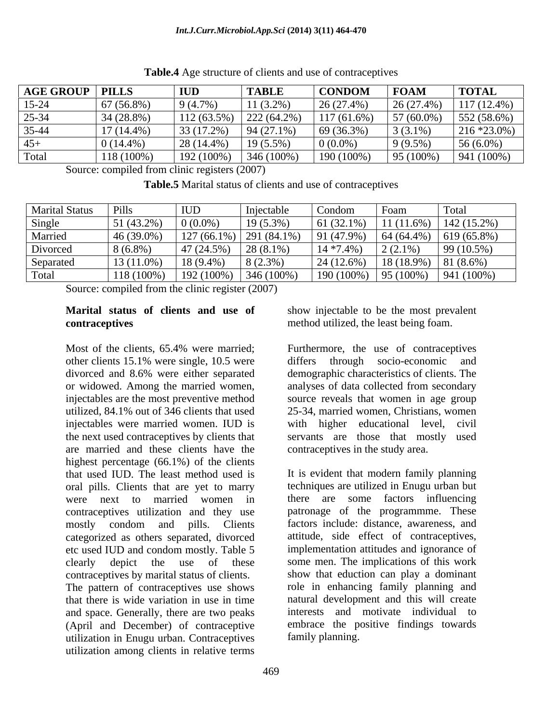| <b>AGE GROUP PILLS</b> |              | $\blacksquare$ | <b>TABLE</b> | $\vert$ CONDOM $\vert$ FOAM                                                                                |            | <b>TOTAL</b>                                                 |
|------------------------|--------------|----------------|--------------|------------------------------------------------------------------------------------------------------------|------------|--------------------------------------------------------------|
| $15-24$                | 67(56.8%)    | $9(4.7\%)$     | $11(3.2\%)$  | $\vert 26(27.4\%)$                                                                                         |            | $\left  \right. 26\,(27.4\%)$ $\left  \right. 117\,(12.4\%)$ |
| $25 - 34$              | $34(28.8\%)$ |                |              | 112 (63.5%)   222 (64.2%)   117 (61.6%)   57 (60.0%)                                                       |            | $552(58.6\%)$                                                |
| 35-44                  | $17(14.4\%)$ |                |              | $\begin{array}{ c c c c c c c c } \hline 33 & (17.2\%) & 94 & (27.1\%) & 69 & (36.3\%) \hline \end{array}$ | $3(3.1\%)$ | $216 * 23.0\%)$                                              |
|                        | $0(14.4\%)$  | $28(14.4\%)$   | $19(5.5\%)$  | $0(0.0\%)$                                                                                                 | 9(9.5%)    | $156(6.0\%)$                                                 |
|                        | 118 (1009    |                |              | 192 (100%)   346 (100%)   190 (100%)                                                                       |            | $\vert 95 \, (100\%) \vert 941 \, (100\%)$                   |

**Table.4** Age structure of clients and use of contraceptives

Source: compiled from clinic registers (2007)

**Table.5** Marital status of clients and use of contraceptives

| <b>Marital Status</b> | Pills                 | <b>IUD</b>                         | Injectable                            | Condon       | Foam                   | Total                             |
|-----------------------|-----------------------|------------------------------------|---------------------------------------|--------------|------------------------|-----------------------------------|
| Single                | 51 (43.2%)            | $0(0.0\%)$                         | $19(5.3\%)$                           | $61(32.1\%)$ |                        | $11(11.6%)$ 142 (15.2%)           |
| Married               | $-46(39.0\%$          |                                    | $\mid$ 127 (66.1%) $\mid$ 291 (84.1%) | $91(47.9\%)$ | $64(64.4\%)$           | 619 (65.8%)                       |
| Divorced              | $8(6.8\%)$            | $\mid$ 47 (24.5%) $\mid$ 28 (8.1%) |                                       | $14*7.4\%)$  | $2(2.1\%)$             | 99(10.5%)                         |
| Separated             | $\frac{13}{(11.0\%)}$ | $18(9.4\%)$                        | $8(2.3\%)$                            | 24(12.6%)    | $18(18.9\%)$ 81 (8.6%) |                                   |
| Total                 | $118(100\%)$          |                                    | $192(100\%)$ 346(100\%)               |              |                        | $190(100\%)$ 95 (100%) 941 (100%) |

Source: compiled from the clinic register (2007)

#### **Marital status of clients and use of** show injectable to be the most prevalent **contraceptives contraceptives contraceptives contraceptives**

Most of the clients, 65.4% were married; Furthermore, the use of contraceptives other clients 15.1% were single, 10.5 were differs through socio-economic and divorced and 8.6% were either separated or widowed. Among the married women, analyses of data collected from secondary injectables are the most preventive method source reveals that women in age group utilized, 84.1% out of 346 clients that used 25-34, married women, Christians, women injectables were married women. IUD is the next used contraceptives by clients that servants are those that mostly used are married and these clients have the highest percentage (66.1%) of the clients that used IUD. The least method used is oral pills. Clients that are yet to marry were next to married women in there are some factors influencing contraceptives utilization and they use patronage of the programmme. These mostly condom and pills. Clients factors include: distance, awareness, and categorized as others separated, divorced etc used IUD and condom mostly. Table 5 clearly depict the use of these some men. The implications of this work contraceptives by marital status of clients. The pattern of contraceptives use shows that there is wide variation in use in time natural development and this will create and space. Generally, there are two peaks (April and December) of contraceptive utilization in Enugu urban. Contraceptives utilization among clients in relative terms

Furthermore, the use of contraceptives through socio-economic demographic characteristics of clients. The with higher educational level, civil contraceptives in the study area.

It is evident that modern family planning techniques are utilized in Enugu urban but factors include: distance, awareness, and attitude, side effect of contraceptives, implementation attitudes and ignorance of show that eduction can play a dominant role in enhancing family planning and interests and motivate individual to embrace the positive findings towards family planning.